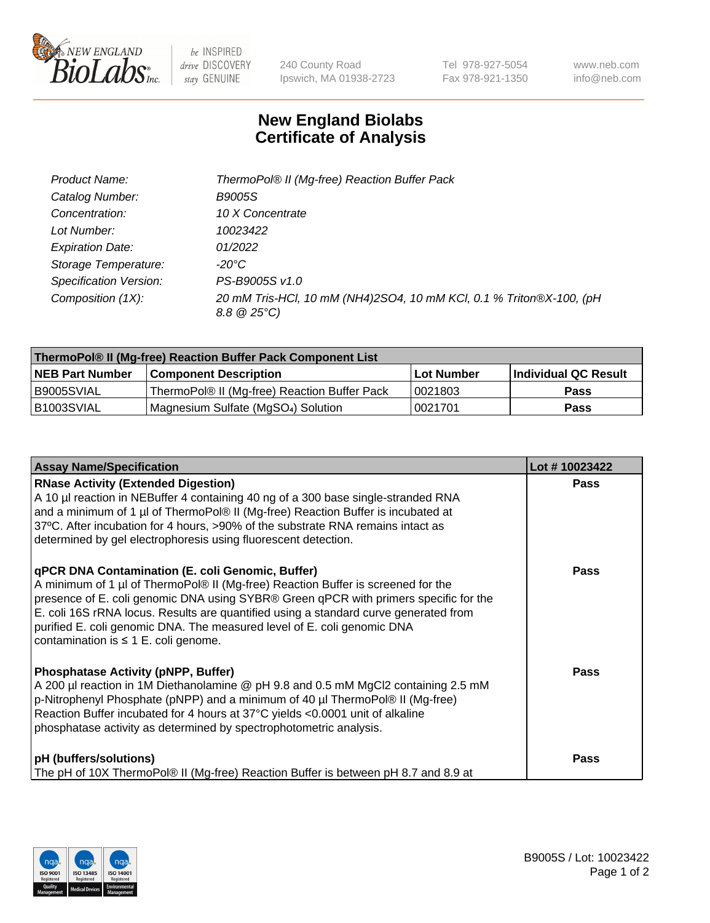

 $be$  INSPIRED drive DISCOVERY stay GENUINE

240 County Road Ipswich, MA 01938-2723 Tel 978-927-5054 Fax 978-921-1350 www.neb.com info@neb.com

## **New England Biolabs Certificate of Analysis**

| Product Name:           | ThermoPol® II (Mg-free) Reaction Buffer Pack                                                 |
|-------------------------|----------------------------------------------------------------------------------------------|
| Catalog Number:         | <i>B9005S</i>                                                                                |
| Concentration:          | 10 X Concentrate                                                                             |
| Lot Number:             | 10023422                                                                                     |
| <b>Expiration Date:</b> | 01/2022                                                                                      |
| Storage Temperature:    | -20°C                                                                                        |
| Specification Version:  | PS-B9005S v1.0                                                                               |
| Composition (1X):       | 20 mM Tris-HCl, 10 mM (NH4)2SO4, 10 mM KCl, 0.1 % Triton®X-100, (pH<br>$8.8 \ @ 25^{\circ}C$ |

| ThermoPol® II (Mg-free) Reaction Buffer Pack Component List |                                              |            |                      |  |
|-------------------------------------------------------------|----------------------------------------------|------------|----------------------|--|
| <b>NEB Part Number</b>                                      | <b>Component Description</b>                 | Lot Number | Individual QC Result |  |
| I B9005SVIAL                                                | ThermoPol® II (Mg-free) Reaction Buffer Pack | 10021803   | Pass                 |  |
| IB1003SVIAL                                                 | Magnesium Sulfate (MgSO4) Solution           | 10021701   | Pass                 |  |

| <b>Assay Name/Specification</b>                                                                                                                                                                                                                                                                                                                                                                                                                     | Lot #10023422 |
|-----------------------------------------------------------------------------------------------------------------------------------------------------------------------------------------------------------------------------------------------------------------------------------------------------------------------------------------------------------------------------------------------------------------------------------------------------|---------------|
| <b>RNase Activity (Extended Digestion)</b><br>A 10 µl reaction in NEBuffer 4 containing 40 ng of a 300 base single-stranded RNA<br>and a minimum of 1 µl of ThermoPol® II (Mg-free) Reaction Buffer is incubated at<br>37°C. After incubation for 4 hours, >90% of the substrate RNA remains intact as<br>determined by gel electrophoresis using fluorescent detection.                                                                            | <b>Pass</b>   |
| <b>qPCR DNA Contamination (E. coli Genomic, Buffer)</b><br>A minimum of 1 µl of ThermoPol® II (Mg-free) Reaction Buffer is screened for the<br>presence of E. coli genomic DNA using SYBR® Green qPCR with primers specific for the<br>E. coli 16S rRNA locus. Results are quantified using a standard curve generated from<br>purified E. coli genomic DNA. The measured level of E. coli genomic DNA<br>contamination is $\leq 1$ E. coli genome. | <b>Pass</b>   |
| Phosphatase Activity (pNPP, Buffer)<br>A 200 µl reaction in 1M Diethanolamine @ pH 9.8 and 0.5 mM MgCl2 containing 2.5 mM<br>p-Nitrophenyl Phosphate (pNPP) and a minimum of 40 µl ThermoPol® II (Mg-free)<br>Reaction Buffer incubated for 4 hours at 37°C yields <0.0001 unit of alkaline<br>phosphatase activity as determined by spectrophotometric analysis.                                                                                   | <b>Pass</b>   |
| <b>pH</b> (buffers/solutions)<br>The pH of 10X ThermoPol® II (Mg-free) Reaction Buffer is between pH 8.7 and 8.9 at                                                                                                                                                                                                                                                                                                                                 | <b>Pass</b>   |